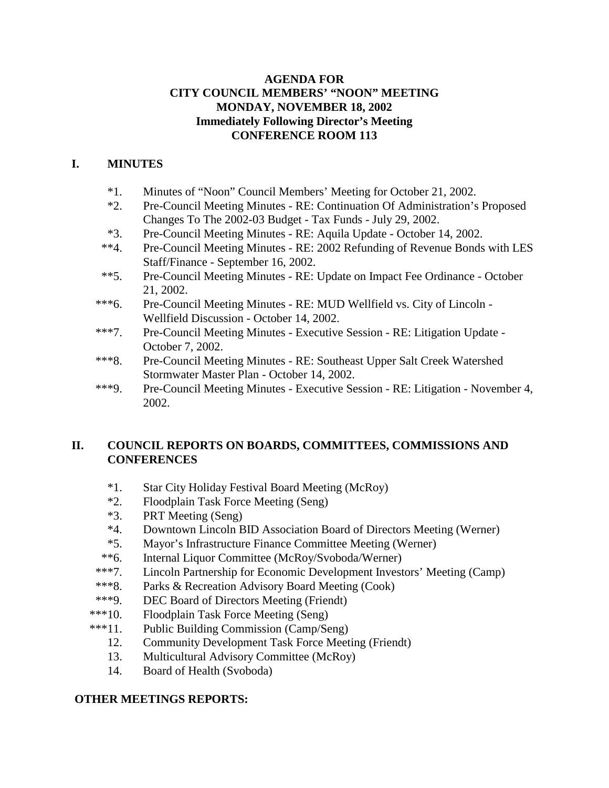## **AGENDA FOR CITY COUNCIL MEMBERS' "NOON" MEETING MONDAY, NOVEMBER 18, 2002 Immediately Following Director's Meeting CONFERENCE ROOM 113**

# **I. MINUTES**

- \*1. Minutes of "Noon" Council Members' Meeting for October 21, 2002.
- \*2. Pre-Council Meeting Minutes RE: Continuation Of Administration's Proposed Changes To The 2002-03 Budget - Tax Funds - July 29, 2002.
- \*3. Pre-Council Meeting Minutes RE: Aquila Update October 14, 2002.
- \*\*4. Pre-Council Meeting Minutes RE: 2002 Refunding of Revenue Bonds with LES Staff/Finance - September 16, 2002.
- \*\*5. Pre-Council Meeting Minutes RE: Update on Impact Fee Ordinance October 21, 2002.
- \*\*\*6. Pre-Council Meeting Minutes RE: MUD Wellfield vs. City of Lincoln Wellfield Discussion - October 14, 2002.
- \*\*\*7. Pre-Council Meeting Minutes Executive Session RE: Litigation Update October 7, 2002.
- \*\*\*8. Pre-Council Meeting Minutes RE: Southeast Upper Salt Creek Watershed Stormwater Master Plan - October 14, 2002.
- \*\*\*9. Pre-Council Meeting Minutes Executive Session RE: Litigation November 4, 2002.

## **II. COUNCIL REPORTS ON BOARDS, COMMITTEES, COMMISSIONS AND CONFERENCES**

- \*1. Star City Holiday Festival Board Meeting (McRoy)
- \*2. Floodplain Task Force Meeting (Seng)
- \*3. PRT Meeting (Seng)
- \*4. Downtown Lincoln BID Association Board of Directors Meeting (Werner)
- \*5. Mayor's Infrastructure Finance Committee Meeting (Werner)
- \*\*6. Internal Liquor Committee (McRoy/Svoboda/Werner)
- \*\*\*7. Lincoln Partnership for Economic Development Investors' Meeting (Camp)
- \*\*\*8. Parks & Recreation Advisory Board Meeting (Cook)
- \*\*\*9. DEC Board of Directors Meeting (Friendt)
- \*\*\*10. Floodplain Task Force Meeting (Seng)
- \*\*\*11. Public Building Commission (Camp/Seng)
	- 12. Community Development Task Force Meeting (Friendt)
	- 13. Multicultural Advisory Committee (McRoy)
	- 14. Board of Health (Svoboda)

#### **OTHER MEETINGS REPORTS:**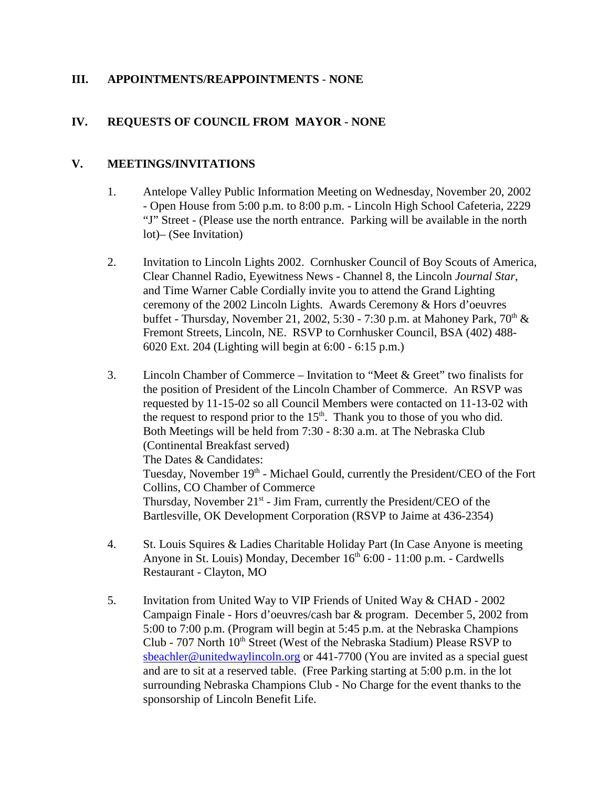## **III. APPOINTMENTS/REAPPOINTMENTS** - **NONE**

## **IV. REQUESTS OF COUNCIL FROM MAYOR - NONE**

## **V. MEETINGS/INVITATIONS**

- 1. Antelope Valley Public Information Meeting on Wednesday, November 20, 2002 - Open House from 5:00 p.m. to 8:00 p.m. - Lincoln High School Cafeteria, 2229 "J" Street - (Please use the north entrance. Parking will be available in the north lot)– (See Invitation)
- 2. Invitation to Lincoln Lights 2002. Cornhusker Council of Boy Scouts of America, Clear Channel Radio, Eyewitness News - Channel 8, the Lincoln *Journal Star*, and Time Warner Cable Cordially invite you to attend the Grand Lighting ceremony of the 2002 Lincoln Lights. Awards Ceremony & Hors d'oeuvres buffet - Thursday, November 21, 2002, 5:30 - 7:30 p.m. at Mahoney Park,  $70<sup>th</sup>$  & Fremont Streets, Lincoln, NE. RSVP to Cornhusker Council, BSA (402) 488- 6020 Ext. 204 (Lighting will begin at 6:00 - 6:15 p.m.)
- 3. Lincoln Chamber of Commerce Invitation to "Meet & Greet" two finalists for the position of President of the Lincoln Chamber of Commerce. An RSVP was requested by 11-15-02 so all Council Members were contacted on 11-13-02 with the request to respond prior to the  $15<sup>th</sup>$ . Thank you to those of you who did. Both Meetings will be held from 7:30 - 8:30 a.m. at The Nebraska Club (Continental Breakfast served) The Dates & Candidates: Tuesday, November 19<sup>th</sup> - Michael Gould, currently the President/CEO of the Fort Collins, CO Chamber of Commerce Thursday, November  $21^{st}$  - Jim Fram, currently the President/CEO of the Bartlesville, OK Development Corporation (RSVP to Jaime at 436-2354)
- 4. St. Louis Squires & Ladies Charitable Holiday Part (In Case Anyone is meeting Anyone in St. Louis) Monday, December  $16<sup>th</sup> 6:00 - 11:00$  p.m. - Cardwells Restaurant - Clayton, MO
- 5. Invitation from United Way to VIP Friends of United Way & CHAD 2002 Campaign Finale - Hors d'oeuvres/cash bar & program. December 5, 2002 from 5:00 to 7:00 p.m. (Program will begin at 5:45 p.m. at the Nebraska Champions Club - 707 North  $10<sup>th</sup>$  Street (West of the Nebraska Stadium) Please RSVP to sbeachler@unitedwaylincoln.org or 441-7700 (You are invited as a special guest and are to sit at a reserved table. (Free Parking starting at 5:00 p.m. in the lot surrounding Nebraska Champions Club - No Charge for the event thanks to the sponsorship of Lincoln Benefit Life.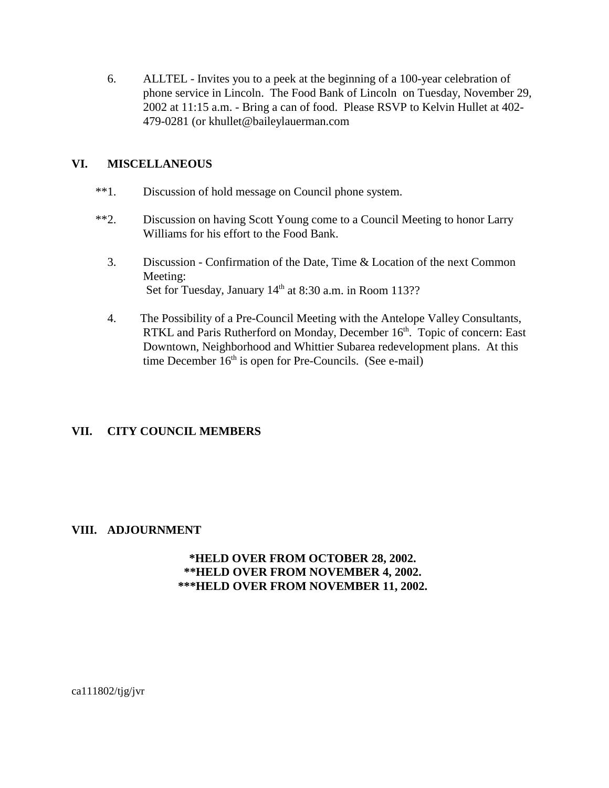6. ALLTEL - Invites you to a peek at the beginning of a 100-year celebration of phone service in Lincoln. The Food Bank of Lincoln on Tuesday, November 29, 2002 at 11:15 a.m. - Bring a can of food. Please RSVP to Kelvin Hullet at 402- 479-0281 (or khullet@baileylauerman.com

## **VI. MISCELLANEOUS**

- \*\*1. Discussion of hold message on Council phone system.
- \*\*2. Discussion on having Scott Young come to a Council Meeting to honor Larry Williams for his effort to the Food Bank.
	- 3. Discussion Confirmation of the Date, Time & Location of the next Common Meeting: Set for Tuesday, January 14<sup>th</sup> at 8:30 a.m. in Room 113??
	- 4. The Possibility of a Pre-Council Meeting with the Antelope Valley Consultants, RTKL and Paris Rutherford on Monday, December 16<sup>th</sup>. Topic of concern: East Downtown, Neighborhood and Whittier Subarea redevelopment plans. At this time December  $16<sup>th</sup>$  is open for Pre-Councils. (See e-mail)

## **VII. CITY COUNCIL MEMBERS**

## **VIII. ADJOURNMENT**

#### **\*HELD OVER FROM OCTOBER 28, 2002. \*\*HELD OVER FROM NOVEMBER 4, 2002. \*\*\*HELD OVER FROM NOVEMBER 11, 2002.**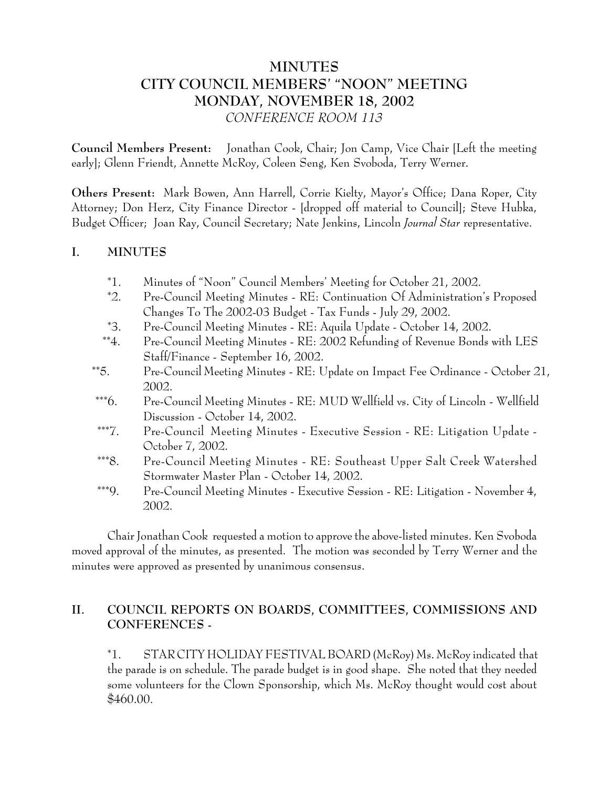# **MINUTES CITY COUNCIL MEMBERS' "NOON" MEETING MONDAY, NOVEMBER 18, 2002** *CONFERENCE ROOM 113*

**Council Members Present:** Jonathan Cook, Chair; Jon Camp, Vice Chair [Left the meeting early]; Glenn Friendt, Annette McRoy, Coleen Seng, Ken Svoboda, Terry Werner.

**Others Present:** Mark Bowen, Ann Harrell, Corrie Kielty, Mayor's Office; Dana Roper, City Attorney; Don Herz, City Finance Director - [dropped off material to Council]; Steve Hubka, Budget Officer; Joan Ray, Council Secretary; Nate Jenkins, Lincoln *Journal Star* representative.

## **I. MINUTES**

- \*1. Minutes of "Noon" Council Members' Meeting for October 21, 2002.
- \*2. Pre-Council Meeting Minutes RE: Continuation Of Administration's Proposed Changes To The 2002-03 Budget - Tax Funds - July 29, 2002.
- \*3. Pre-Council Meeting Minutes RE: Aquila Update October 14, 2002.
- \*\*4. Pre-Council Meeting Minutes RE: 2002 Refunding of Revenue Bonds with LES Staff/Finance - September 16, 2002.
- \*\*5. Pre-Council Meeting Minutes RE: Update on Impact Fee Ordinance October 21, 2002.
- \*\*\*6. Pre-Council Meeting Minutes RE: MUD Wellfield vs. City of Lincoln Wellfield Discussion - October 14, 2002.
- \*\*\*7. Pre-Council Meeting Minutes Executive Session RE: Litigation Update October 7, 2002.
- \*\*\*8. Pre-Council Meeting Minutes RE: Southeast Upper Salt Creek Watershed Stormwater Master Plan - October 14, 2002.
- \*\*\*9. Pre-Council Meeting Minutes Executive Session RE: Litigation November 4, 2002.

Chair Jonathan Cook requested a motion to approve the above-listed minutes. Ken Svoboda moved approval of the minutes, as presented. The motion was seconded by Terry Werner and the minutes were approved as presented by unanimous consensus.

# **II. COUNCIL REPORTS ON BOARDS, COMMITTEES, COMMISSIONS AND CONFERENCES -**

\*1. STAR CITY HOLIDAY FESTIVAL BOARD (McRoy) Ms. McRoy indicated that the parade is on schedule. The parade budget is in good shape. She noted that they needed some volunteers for the Clown Sponsorship, which Ms. McRoy thought would cost about \$460.00.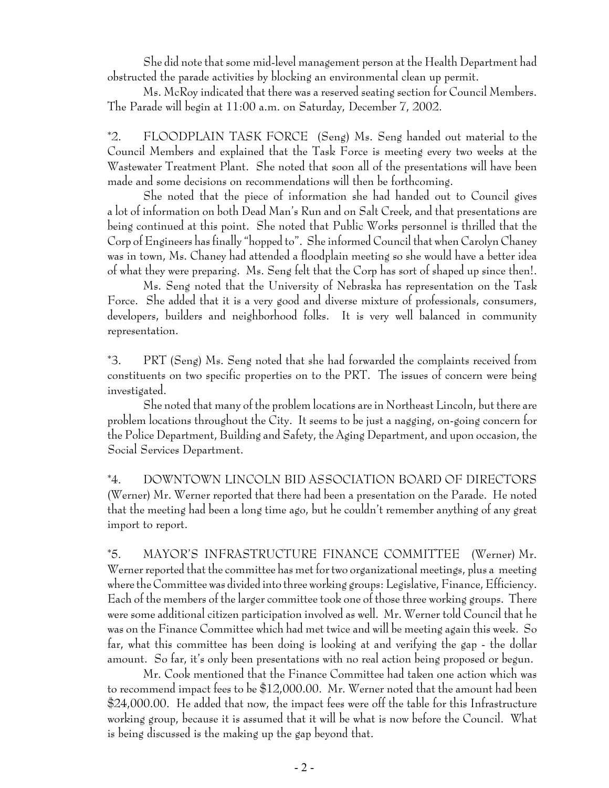She did note that some mid-level management person at the Health Department had obstructed the parade activities by blocking an environmental clean up permit.

Ms. McRoy indicated that there was a reserved seating section for Council Members. The Parade will begin at 11:00 a.m. on Saturday, December 7, 2002.

\*2. FLOODPLAIN TASK FORCE (Seng) Ms. Seng handed out material to the Council Members and explained that the Task Force is meeting every two weeks at the Wastewater Treatment Plant. She noted that soon all of the presentations will have been made and some decisions on recommendations will then be forthcoming.

She noted that the piece of information she had handed out to Council gives a lot of information on both Dead Man's Run and on Salt Creek, and that presentations are being continued at this point. She noted that Public Works personnel is thrilled that the Corp of Engineers has finally "hopped to". She informed Council that when Carolyn Chaney was in town, Ms. Chaney had attended a floodplain meeting so she would have a better idea of what they were preparing. Ms. Seng felt that the Corp has sort of shaped up since then!.

Ms. Seng noted that the University of Nebraska has representation on the Task Force. She added that it is a very good and diverse mixture of professionals, consumers, developers, builders and neighborhood folks. It is very well balanced in community representation.

\*3. PRT (Seng) Ms. Seng noted that she had forwarded the complaints received from constituents on two specific properties on to the PRT. The issues of concern were being investigated.

She noted that many of the problem locations are in Northeast Lincoln, but there are problem locations throughout the City. It seems to be just a nagging, on-going concern for the Police Department, Building and Safety, the Aging Department, and upon occasion, the Social Services Department.

\*4. DOWNTOWN LINCOLN BID ASSOCIATION BOARD OF DIRECTORS (Werner) Mr. Werner reported that there had been a presentation on the Parade. He noted that the meeting had been a long time ago, but he couldn't remember anything of any great import to report.

\*5. MAYOR'S INFRASTRUCTURE FINANCE COMMITTEE (Werner) Mr. Werner reported that the committee has met for two organizational meetings, plus a meeting where the Committee was divided into three working groups: Legislative, Finance, Efficiency. Each of the members of the larger committee took one of those three working groups. There were some additional citizen participation involved as well. Mr. Werner told Council that he was on the Finance Committee which had met twice and will be meeting again this week. So far, what this committee has been doing is looking at and verifying the gap - the dollar amount. So far, it's only been presentations with no real action being proposed or begun.

Mr. Cook mentioned that the Finance Committee had taken one action which was to recommend impact fees to be \$12,000.00. Mr. Werner noted that the amount had been \$24,000.00. He added that now, the impact fees were off the table for this Infrastructure working group, because it is assumed that it will be what is now before the Council. What is being discussed is the making up the gap beyond that.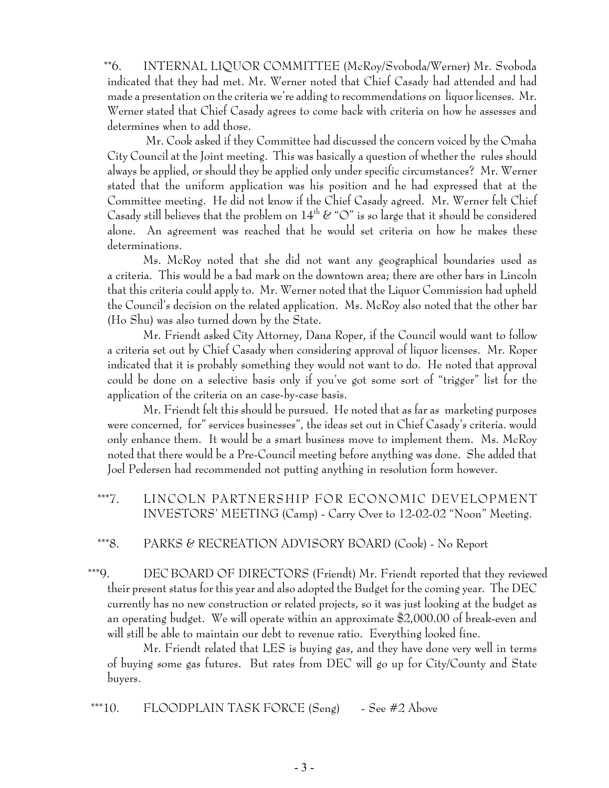\*\*6. INTERNAL LIQUOR COMMITTEE (McRoy/Svoboda/Werner) Mr. Svoboda indicated that they had met. Mr. Werner noted that Chief Casady had attended and had made a presentation on the criteria we're adding to recommendations on liquor licenses. Mr. Werner stated that Chief Casady agrees to come back with criteria on how he assesses and determines when to add those.

 Mr. Cook asked if they Committee had discussed the concern voiced by the Omaha City Council at the Joint meeting. This was basically a question of whether the rules should always be applied, or should they be applied only under specific circumstances? Mr. Werner stated that the uniform application was his position and he had expressed that at the Committee meeting. He did not know if the Chief Casady agreed. Mr. Werner felt Chief Casady still believes that the problem on  $14<sup>th</sup>$  & " $\circ$ " is so large that it should be considered alone. An agreement was reached that he would set criteria on how he makes these determinations.

Ms. McRoy noted that she did not want any geographical boundaries used as a criteria. This would be a bad mark on the downtown area; there are other bars in Lincoln that this criteria could apply to. Mr. Werner noted that the Liquor Commission had upheld the Council's decision on the related application. Ms. McRoy also noted that the other bar (Ho Shu) was also turned down by the State.

Mr. Friendt asked City Attorney, Dana Roper, if the Council would want to follow a criteria set out by Chief Casady when considering approval of liquor licenses. Mr. Roper indicated that it is probably something they would not want to do. He noted that approval could be done on a selective basis only if you've got some sort of "trigger" list for the application of the criteria on an case-by-case basis.

Mr. Friendt felt this should be pursued. He noted that as far as marketing purposes were concerned, for" services businesses", the ideas set out in Chief Casady's criteria. would only enhance them. It would be a smart business move to implement them. Ms. McRoy noted that there would be a Pre-Council meeting before anything was done. She added that Joel Pedersen had recommended not putting anything in resolution form however.

 \*\*\*7. LINCOLN PARTNERSHIP FOR ECONOMIC DEVELOPMENT INVESTORS' MEETING (Camp) - Carry Over to 12-02-02 "Noon" Meeting.

\*\*\*8. PARKS & RECREATION ADVISORY BOARD (Cook) - No Report

 \*\*\*9. DEC BOARD OF DIRECTORS (Friendt) Mr. Friendt reported that they reviewed their present status for this year and also adopted the Budget for the coming year. The DEC currently has no new construction or related projects, so it was just looking at the budget as an operating budget. We will operate within an approximate \$2,000.00 of break-even and will still be able to maintain our debt to revenue ratio. Everything looked fine.

Mr. Friendt related that LES is buying gas, and they have done very well in terms of buying some gas futures. But rates from DEC will go up for City/County and State buyers.

\*\*\*10. FLOODPLAIN TASK FORCE  $(Seng)$  - See #2 Above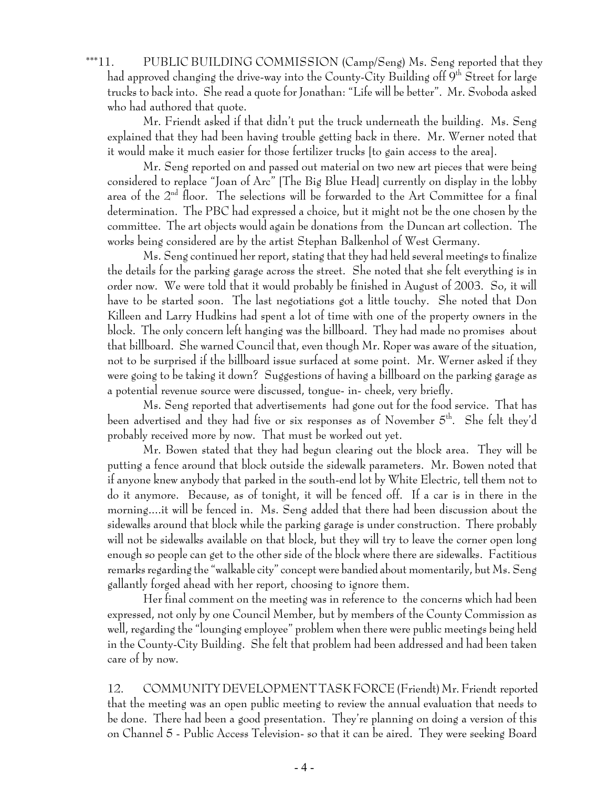\*\*\*11. PUBLIC BUILDING COMMISSION (Camp/Seng) Ms. Seng reported that they had approved changing the drive-way into the County-City Building off  $9<sup>th</sup>$  Street for large trucks to back into. She read a quote for Jonathan: "Life will be better". Mr. Svoboda asked who had authored that quote.

Mr. Friendt asked if that didn't put the truck underneath the building. Ms. Seng explained that they had been having trouble getting back in there. Mr. Werner noted that it would make it much easier for those fertilizer trucks [to gain access to the area].

Mr. Seng reported on and passed out material on two new art pieces that were being considered to replace "Joan of Arc" [The Big Blue Head] currently on display in the lobby area of the  $2<sup>nd</sup>$  floor. The selections will be forwarded to the Art Committee for a final determination. The PBC had expressed a choice, but it might not be the one chosen by the committee. The art objects would again be donations from the Duncan art collection. The works being considered are by the artist Stephan Balkenhol of West Germany.

Ms. Seng continued her report, stating that they had held several meetings to finalize the details for the parking garage across the street. She noted that she felt everything is in order now. We were told that it would probably be finished in August of 2003. So, it will have to be started soon. The last negotiations got a little touchy. She noted that Don Killeen and Larry Hudkins had spent a lot of time with one of the property owners in the block. The only concern left hanging was the billboard. They had made no promises about that billboard. She warned Council that, even though Mr. Roper was aware of the situation, not to be surprised if the billboard issue surfaced at some point. Mr. Werner asked if they were going to be taking it down? Suggestions of having a billboard on the parking garage as a potential revenue source were discussed, tongue- in- cheek, very briefly.

Ms. Seng reported that advertisements had gone out for the food service. That has been advertised and they had five or six responses as of November 5th. She felt they'd probably received more by now. That must be worked out yet.

Mr. Bowen stated that they had begun clearing out the block area. They will be putting a fence around that block outside the sidewalk parameters. Mr. Bowen noted that if anyone knew anybody that parked in the south-end lot by White Electric, tell them not to do it anymore. Because, as of tonight, it will be fenced off. If a car is in there in the morning....it will be fenced in. Ms. Seng added that there had been discussion about the sidewalks around that block while the parking garage is under construction. There probably will not be sidewalks available on that block, but they will try to leave the corner open long enough so people can get to the other side of the block where there are sidewalks. Factitious remarks regarding the "walkable city" concept were bandied about momentarily, but Ms. Seng gallantly forged ahead with her report, choosing to ignore them.

Her final comment on the meeting was in reference to the concerns which had been expressed, not only by one Council Member, but by members of the County Commission as well, regarding the "lounging employee" problem when there were public meetings being held in the County-City Building. She felt that problem had been addressed and had been taken care of by now.

12. COMMUNITY DEVELOPMENT TASK FORCE (Friendt) Mr. Friendt reported that the meeting was an open public meeting to review the annual evaluation that needs to be done. There had been a good presentation. They're planning on doing a version of this on Channel 5 - Public Access Television- so that it can be aired. They were seeking Board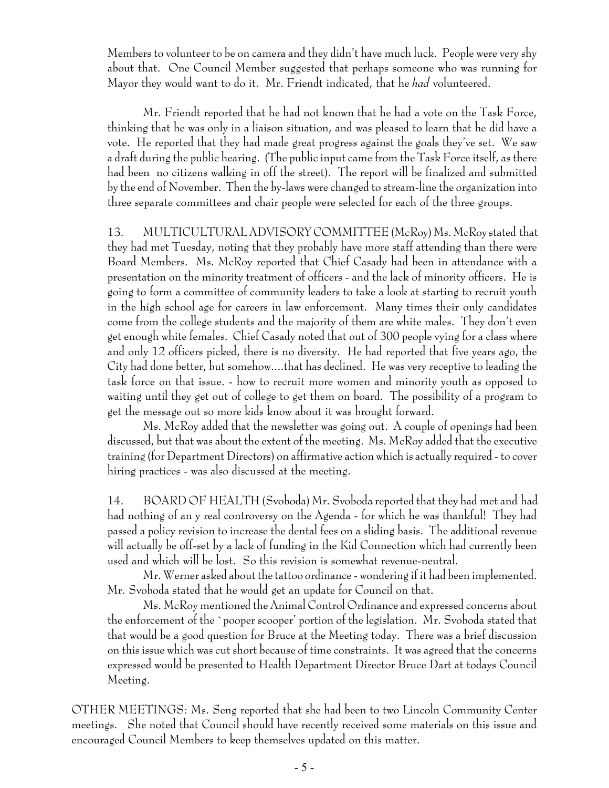Members to volunteer to be on camera and they didn't have much luck. People were very shy about that. One Council Member suggested that perhaps someone who was running for Mayor they would want to do it. Mr. Friendt indicated, that he *had* volunteered.

Mr. Friendt reported that he had not known that he had a vote on the Task Force, thinking that he was only in a liaison situation, and was pleased to learn that he did have a vote. He reported that they had made great progress against the goals they've set. We saw a draft during the public hearing. (The public input came from the Task Force itself, as there had been no citizens walking in off the street). The report will be finalized and submitted by the end of November. Then the by-laws were changed to stream-line the organization into three separate committees and chair people were selected for each of the three groups.

13. MULTICULTURAL ADVISORY COMMITTEE (McRoy) Ms. McRoy stated that they had met Tuesday, noting that they probably have more staff attending than there were Board Members. Ms. McRoy reported that Chief Casady had been in attendance with a presentation on the minority treatment of officers - and the lack of minority officers. He is going to form a committee of community leaders to take a look at starting to recruit youth in the high school age for careers in law enforcement. Many times their only candidates come from the college students and the majority of them are white males. They don't even get enough white females. Chief Casady noted that out of 300 people vying for a class where and only 12 officers picked, there is no diversity. He had reported that five years ago, the City had done better, but somehow....that has declined. He was very receptive to leading the task force on that issue. - how to recruit more women and minority youth as opposed to waiting until they get out of college to get them on board. The possibility of a program to get the message out so more kids know about it was brought forward.

Ms. McRoy added that the newsletter was going out. A couple of openings had been discussed, but that was about the extent of the meeting. Ms. McRoy added that the executive training (for Department Directors) on affirmative action which is actually required - to cover hiring practices - was also discussed at the meeting.

14. BOARD OF HEALTH (Svoboda) Mr. Svoboda reported that they had met and had had nothing of an y real controversy on the Agenda - for which he was thankful! They had passed a policy revision to increase the dental fees on a sliding basis. The additional revenue will actually be off-set by a lack of funding in the Kid Connection which had currently been used and which will be lost. So this revision is somewhat revenue-neutral.

Mr. Werner asked about the tattoo ordinance - wondering if it had been implemented. Mr. Svoboda stated that he would get an update for Council on that.

Ms. McRoy mentioned the Animal Control Ordinance and expressed concerns about the enforcement of the `pooper scooper' portion of the legislation. Mr. Svoboda stated that that would be a good question for Bruce at the Meeting today. There was a brief discussion on this issue which was cut short because of time constraints. It was agreed that the concerns expressed would be presented to Health Department Director Bruce Dart at todays Council Meeting.

OTHER MEETINGS: Ms. Seng reported that she had been to two Lincoln Community Center meetings. She noted that Council should have recently received some materials on this issue and encouraged Council Members to keep themselves updated on this matter.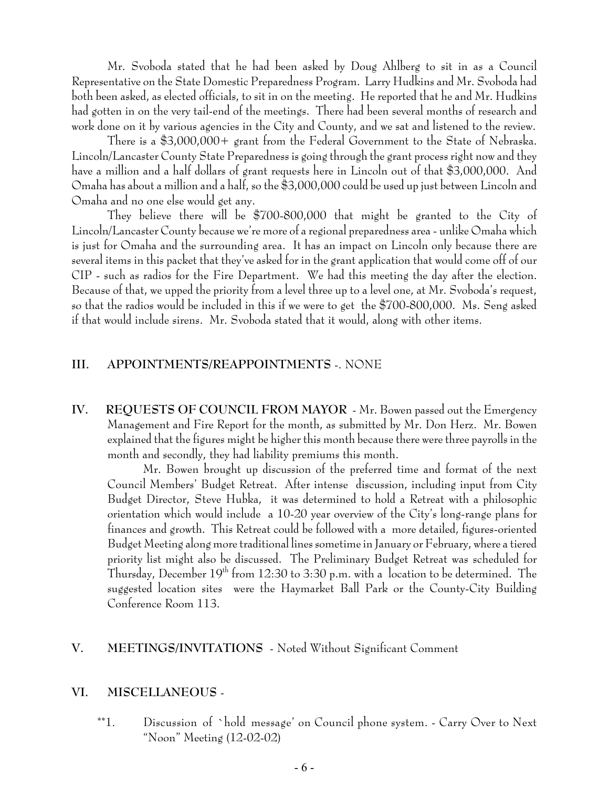Mr. Svoboda stated that he had been asked by Doug Ahlberg to sit in as a Council Representative on the State Domestic Preparedness Program. Larry Hudkins and Mr. Svoboda had both been asked, as elected officials, to sit in on the meeting. He reported that he and Mr. Hudkins had gotten in on the very tail-end of the meetings. There had been several months of research and work done on it by various agencies in the City and County, and we sat and listened to the review.

There is a \$3,000,000+ grant from the Federal Government to the State of Nebraska. Lincoln/Lancaster County State Preparedness is going through the grant process right now and they have a million and a half dollars of grant requests here in Lincoln out of that \$3,000,000. And Omaha has about a million and a half, so the \$3,000,000 could be used up just between Lincoln and Omaha and no one else would get any.

They believe there will be \$700-800,000 that might be granted to the City of Lincoln/Lancaster County because we're more of a regional preparedness area - unlike Omaha which is just for Omaha and the surrounding area. It has an impact on Lincoln only because there are several items in this packet that they've asked for in the grant application that would come off of our CIP - such as radios for the Fire Department. We had this meeting the day after the election. Because of that, we upped the priority from a level three up to a level one, at Mr. Svoboda's request, so that the radios would be included in this if we were to get the \$700-800,000. Ms. Seng asked if that would include sirens. Mr. Svoboda stated that it would, along with other items.

#### **III. APPOINTMENTS/REAPPOINTMENTS** -. NONE

**IV. REQUESTS OF COUNCIL FROM MAYOR** - Mr. Bowen passed out the Emergency Management and Fire Report for the month, as submitted by Mr. Don Herz. Mr. Bowen explained that the figures might be higher this month because there were three payrolls in the month and secondly, they had liability premiums this month.

Mr. Bowen brought up discussion of the preferred time and format of the next Council Members' Budget Retreat. After intense discussion, including input from City Budget Director, Steve Hubka, it was determined to hold a Retreat with a philosophic orientation which would include a 10-20 year overview of the City's long-range plans for finances and growth. This Retreat could be followed with a more detailed, figures-oriented Budget Meeting along more traditional lines sometime in January or February, where a tiered priority list might also be discussed. The Preliminary Budget Retreat was scheduled for Thursday, December  $19<sup>th</sup>$  from 12:30 to 3:30 p.m. with a location to be determined. The suggested location sites were the Haymarket Ball Park or the County-City Building Conference Room 113.

#### **V. MEETINGS/INVITATIONS** - Noted Without Significant Comment

#### **VI. MISCELLANEOUS** -

 \*\*1. Discussion of `hold message' on Council phone system. - Carry Over to Next "Noon" Meeting (12-02-02)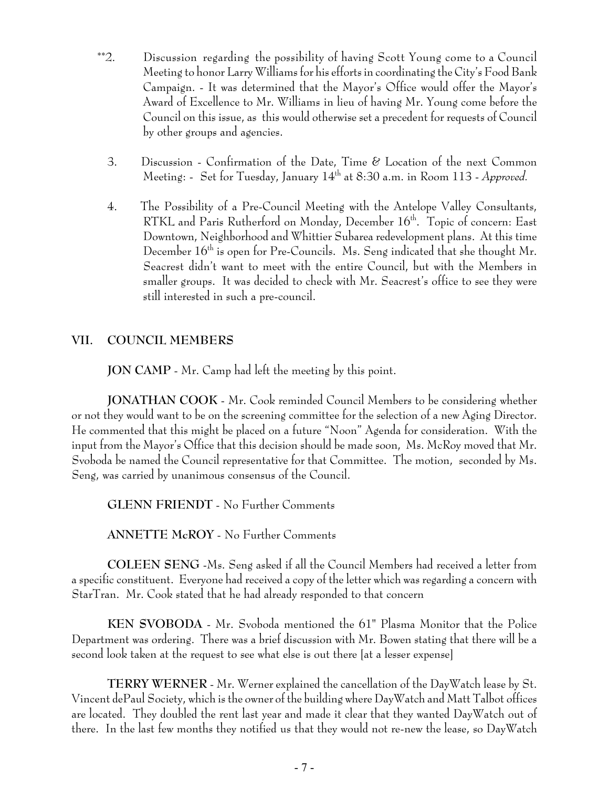- \*\*2. Discussion regarding the possibility of having Scott Young come to a Council Meeting to honor Larry Williams for his efforts in coordinating the City's Food Bank Campaign. - It was determined that the Mayor's Office would offer the Mayor's Award of Excellence to Mr. Williams in lieu of having Mr. Young come before the Council on this issue, as this would otherwise set a precedent for requests of Council by other groups and agencies.
	- 3. Discussion Confirmation of the Date, Time & Location of the next Common Meeting: - Set for Tuesday, January 14<sup>th</sup> at 8:30 a.m. in Room 113 - *Approved.*
	- 4. The Possibility of a Pre-Council Meeting with the Antelope Valley Consultants, RTKL and Paris Rutherford on Monday, December 16<sup>th</sup>. Topic of concern: East Downtown, Neighborhood and Whittier Subarea redevelopment plans. At this time December  $16<sup>th</sup>$  is open for Pre-Councils. Ms. Seng indicated that she thought Mr. Seacrest didn't want to meet with the entire Council, but with the Members in smaller groups. It was decided to check with Mr. Seacrest's office to see they were still interested in such a pre-council.

## **VII. COUNCIL MEMBERS**

**JON CAMP** - Mr. Camp had left the meeting by this point.

**JONATHAN COOK** - Mr. Cook reminded Council Members to be considering whether or not they would want to be on the screening committee for the selection of a new Aging Director. He commented that this might be placed on a future "Noon" Agenda for consideration. With the input from the Mayor's Office that this decision should be made soon, Ms. McRoy moved that Mr. Svoboda be named the Council representative for that Committee. The motion, seconded by Ms. Seng, was carried by unanimous consensus of the Council.

**GLENN FRIENDT** - No Further Comments

**ANNETTE McROY** - No Further Comments

**COLEEN SENG** -Ms. Seng asked if all the Council Members had received a letter from a specific constituent. Everyone had received a copy of the letter which was regarding a concern with StarTran. Mr. Cook stated that he had already responded to that concern

**KEN SVOBODA** - Mr. Svoboda mentioned the 61" Plasma Monitor that the Police Department was ordering. There was a brief discussion with Mr. Bowen stating that there will be a second look taken at the request to see what else is out there [at a lesser expense]

**TERRY WERNER** - Mr. Werner explained the cancellation of the DayWatch lease by St. Vincent dePaul Society, which is the owner of the building where DayWatch and Matt Talbot offices are located. They doubled the rent last year and made it clear that they wanted DayWatch out of there. In the last few months they notified us that they would not re-new the lease, so DayWatch